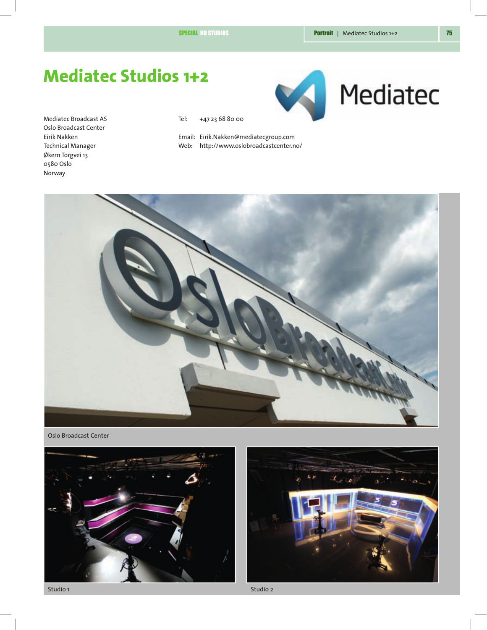Mediatec

# **Mediatec Studios 1+2**

Mediatec Broadcast AS Oslo Broadcast Center Eirik Nakken Technical Manager Økern Torgvei 13 0580 Oslo Norway

Tel: +47 23 68 80 00

Email: Eirik.Nakken@mediatecgroup.com Web: http://www.oslobroadcastcenter.no/



Oslo Broadcast Center





Studio 1 Studio 2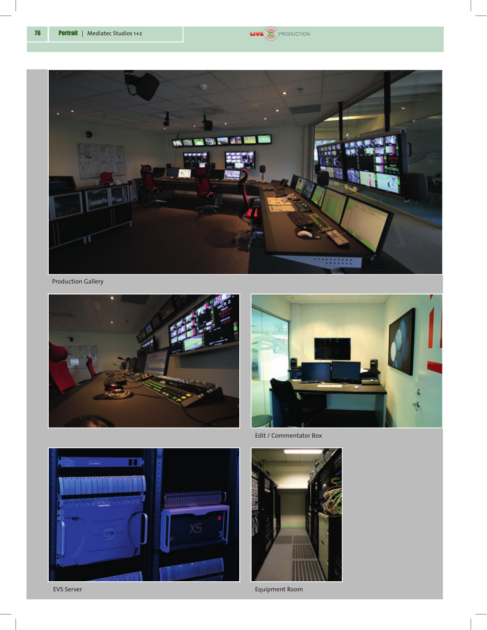



Production Gallery





Edit / Commentator Box





Equipment Room